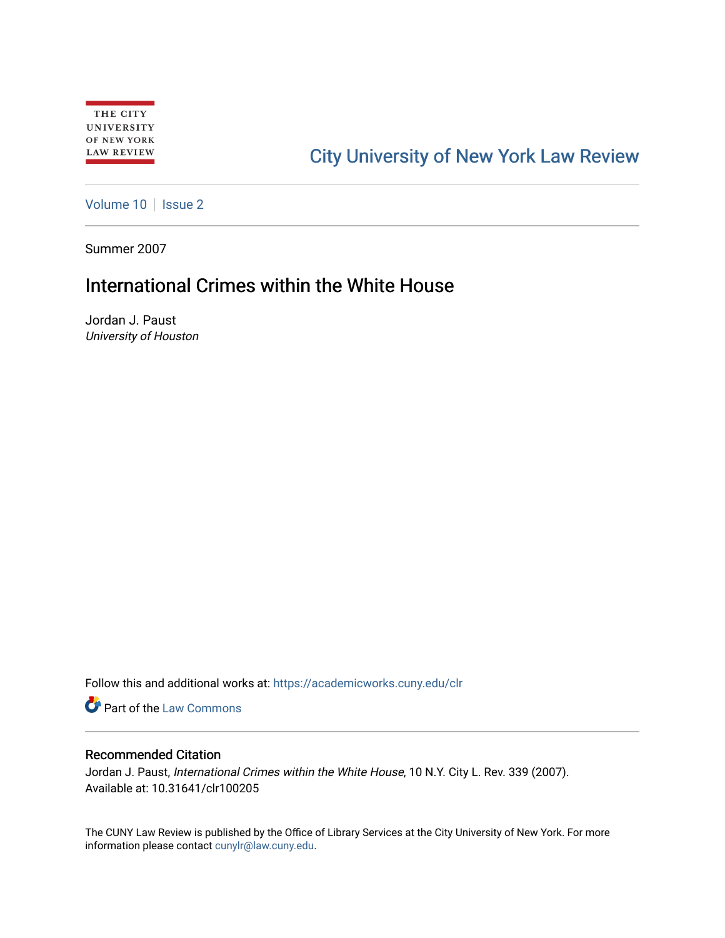# [City University of New York Law Review](https://academicworks.cuny.edu/clr)

[Volume 10](https://academicworks.cuny.edu/clr/vol10) | [Issue 2](https://academicworks.cuny.edu/clr/vol10/iss2)

Summer 2007

## International Crimes within the White House

Jordan J. Paust University of Houston

Follow this and additional works at: [https://academicworks.cuny.edu/clr](https://academicworks.cuny.edu/clr?utm_source=academicworks.cuny.edu%2Fclr%2Fvol10%2Fiss2%2F6&utm_medium=PDF&utm_campaign=PDFCoverPages) 

**Part of the [Law Commons](http://network.bepress.com/hgg/discipline/578?utm_source=academicworks.cuny.edu%2Fclr%2Fvol10%2Fiss2%2F6&utm_medium=PDF&utm_campaign=PDFCoverPages)** 

#### Recommended Citation

Jordan J. Paust, International Crimes within the White House, 10 N.Y. City L. Rev. 339 (2007). Available at: 10.31641/clr100205

The CUNY Law Review is published by the Office of Library Services at the City University of New York. For more information please contact [cunylr@law.cuny.edu](mailto:cunylr@law.cuny.edu).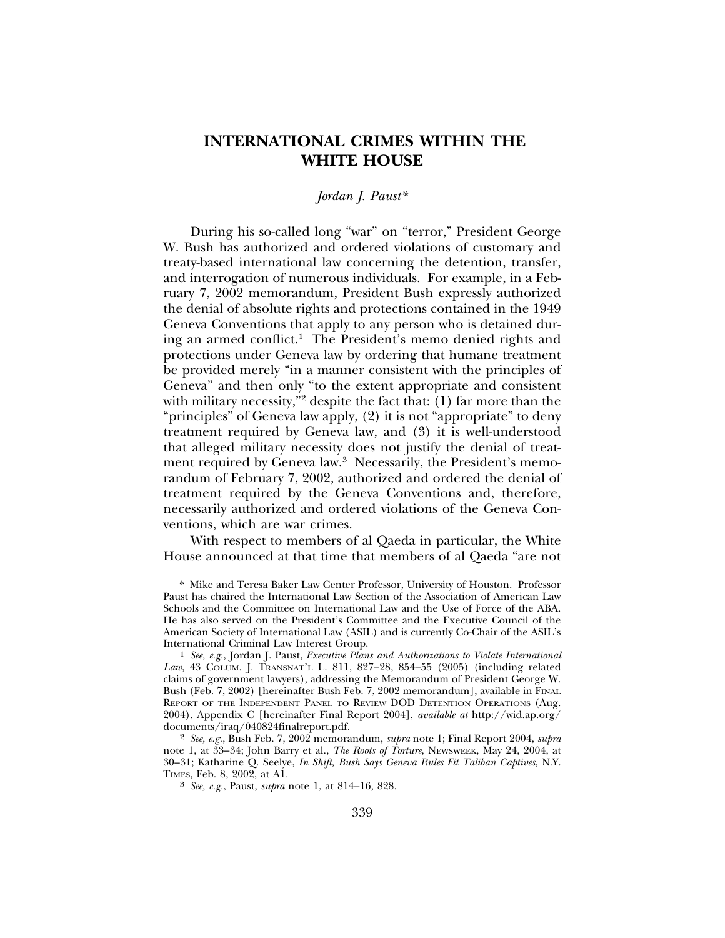### **INTERNATIONAL CRIMES WITHIN THE WHITE HOUSE**

#### *Jordan J. Paust\**

During his so-called long "war" on "terror," President George W. Bush has authorized and ordered violations of customary and treaty-based international law concerning the detention, transfer, and interrogation of numerous individuals. For example, in a February 7, 2002 memorandum, President Bush expressly authorized the denial of absolute rights and protections contained in the 1949 Geneva Conventions that apply to any person who is detained during an armed conflict.<sup>1</sup> The President's memo denied rights and protections under Geneva law by ordering that humane treatment be provided merely "in a manner consistent with the principles of Geneva" and then only "to the extent appropriate and consistent with military necessity,"2 despite the fact that:  $(1)$  far more than the "principles" of Geneva law apply, (2) it is not "appropriate" to deny treatment required by Geneva law, and (3) it is well-understood that alleged military necessity does not justify the denial of treatment required by Geneva law.<sup>3</sup> Necessarily, the President's memorandum of February 7, 2002, authorized and ordered the denial of treatment required by the Geneva Conventions and, therefore, necessarily authorized and ordered violations of the Geneva Conventions, which are war crimes.

With respect to members of al Qaeda in particular, the White House announced at that time that members of al Qaeda "are not

<sup>\*</sup> Mike and Teresa Baker Law Center Professor, University of Houston. Professor Paust has chaired the International Law Section of the Association of American Law Schools and the Committee on International Law and the Use of Force of the ABA. He has also served on the President's Committee and the Executive Council of the American Society of International Law (ASIL) and is currently Co-Chair of the ASIL's

International Criminal Law Interest Group. <sup>1</sup> *See, e.g.*, Jordan J. Paust, *Executive Plans and Authorizations to Violate International Law*, 43 COLUM. J. TRANSNAT'L L. 811, 827–28, 854–55 (2005) (including related claims of government lawyers), addressing the Memorandum of President George W. Bush (Feb. 7, 2002) [hereinafter Bush Feb. 7, 2002 memorandum], available in FINAL REPORT OF THE INDEPENDENT PANEL TO REVIEW DOD DETENTION OPERATIONS (Aug. 2004), Appendix C [hereinafter Final Report 2004], *available at* http://wid.ap.org/ documents/iraq/040824finalreport.pdf.

<sup>2</sup> *See, e.g.*, Bush Feb. 7, 2002 memorandum, *supra* note 1; Final Report 2004, *supra* note 1, at 33–34; John Barry et al., *The Roots of Torture*, NEWSWEEK, May 24, 2004, at 30–31; Katharine Q. Seelye, *In Shift, Bush Says Geneva Rules Fit Taliban Captives*, N.Y.

<sup>&</sup>lt;sup>3</sup> See, e.g., Paust, *supra* note 1, at 814–16, 828.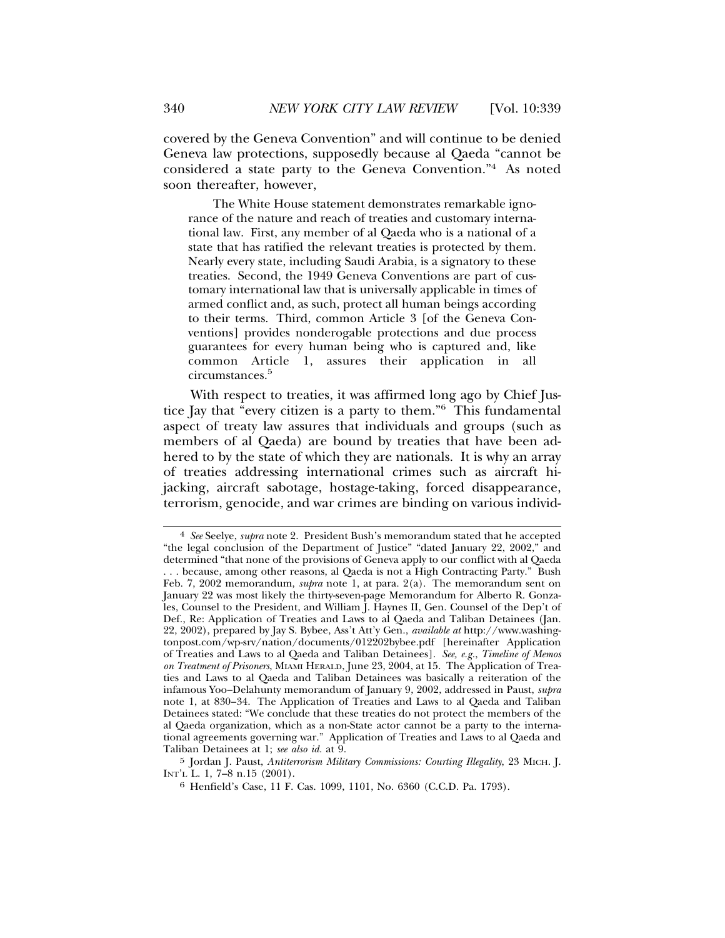covered by the Geneva Convention" and will continue to be denied Geneva law protections, supposedly because al Qaeda "cannot be considered a state party to the Geneva Convention."4 As noted soon thereafter, however,

The White House statement demonstrates remarkable ignorance of the nature and reach of treaties and customary international law. First, any member of al Qaeda who is a national of a state that has ratified the relevant treaties is protected by them. Nearly every state, including Saudi Arabia, is a signatory to these treaties. Second, the 1949 Geneva Conventions are part of customary international law that is universally applicable in times of armed conflict and, as such, protect all human beings according to their terms. Third, common Article 3 [of the Geneva Conventions] provides nonderogable protections and due process guarantees for every human being who is captured and, like common Article 1, assures their application in all circumstances.<sup>5</sup>

With respect to treaties, it was affirmed long ago by Chief Justice Jay that "every citizen is a party to them."6 This fundamental aspect of treaty law assures that individuals and groups (such as members of al Qaeda) are bound by treaties that have been adhered to by the state of which they are nationals. It is why an array of treaties addressing international crimes such as aircraft hijacking, aircraft sabotage, hostage-taking, forced disappearance, terrorism, genocide, and war crimes are binding on various individ-

<sup>4</sup> *See* Seelye, *supra* note 2. President Bush's memorandum stated that he accepted "the legal conclusion of the Department of Justice" "dated January 22, 2002," and determined "that none of the provisions of Geneva apply to our conflict with al Qaeda . . . because, among other reasons, al Qaeda is not a High Contracting Party." Bush Feb. 7, 2002 memorandum, *supra* note 1, at para. 2(a). The memorandum sent on January 22 was most likely the thirty-seven-page Memorandum for Alberto R. Gonzales, Counsel to the President, and William J. Haynes II, Gen. Counsel of the Dep't of Def., Re: Application of Treaties and Laws to al Qaeda and Taliban Detainees (Jan. 22, 2002), prepared by Jay S. Bybee, Ass't Att'y Gen., *available at* http://www.washingtonpost.com/wp-srv/nation/documents/012202bybee.pdf [hereinafter Application of Treaties and Laws to al Qaeda and Taliban Detainees]. *See, e.g.*, *Timeline of Memos on Treatment of Prisoners*, MIAMI HERALD, June 23, 2004, at 15. The Application of Treaties and Laws to al Qaeda and Taliban Detainees was basically a reiteration of the infamous Yoo–Delahunty memorandum of January 9, 2002, addressed in Paust, *supra* note 1, at 830–34. The Application of Treaties and Laws to al Qaeda and Taliban Detainees stated: "We conclude that these treaties do not protect the members of the al Qaeda organization, which as a non-State actor cannot be a party to the international agreements governing war." Application of Treaties and Laws to al Qaeda and Taliban Detainees at 1; *see also id.* at 9.

<sup>5</sup> Jordan J. Paust, *Antiterrorism Military Commissions: Courting Illegality*, 23 MICH. J. INT'L L. 1, 7–8 n.15 (2001).

<sup>6</sup> Henfield's Case, 11 F. Cas. 1099, 1101, No. 6360 (C.C.D. Pa. 1793).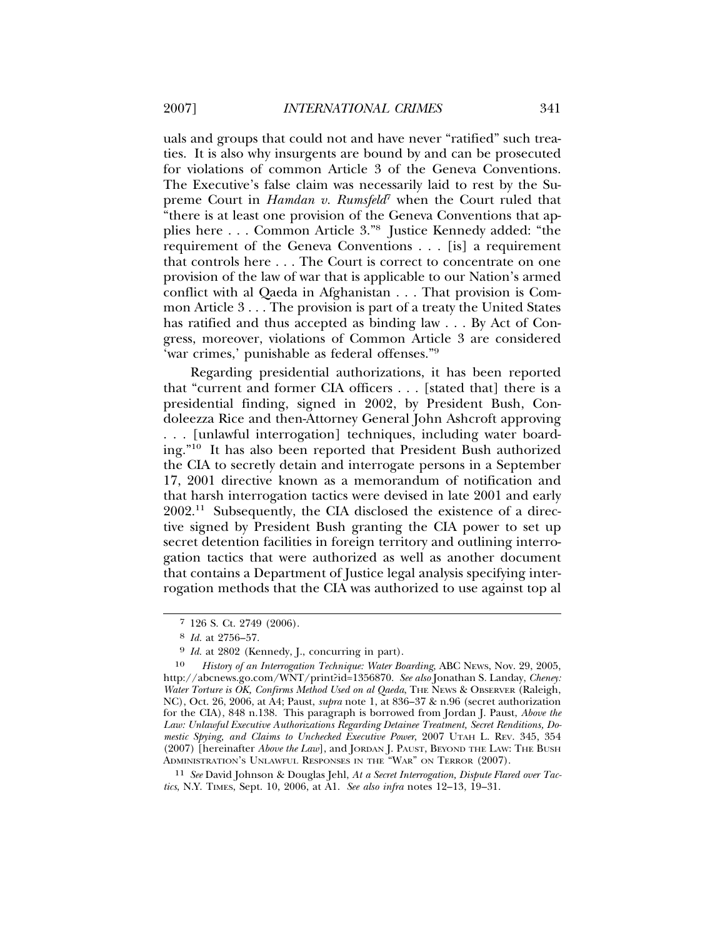uals and groups that could not and have never "ratified" such treaties. It is also why insurgents are bound by and can be prosecuted for violations of common Article 3 of the Geneva Conventions. The Executive's false claim was necessarily laid to rest by the Supreme Court in *Hamdan v. Rumsfeld<sup>7</sup>* when the Court ruled that "there is at least one provision of the Geneva Conventions that applies here . . . Common Article 3."8 Justice Kennedy added: "the requirement of the Geneva Conventions . . . [is] a requirement that controls here . . . The Court is correct to concentrate on one provision of the law of war that is applicable to our Nation's armed conflict with al Qaeda in Afghanistan . . . That provision is Common Article 3 . . . The provision is part of a treaty the United States has ratified and thus accepted as binding law . . . By Act of Congress, moreover, violations of Common Article 3 are considered 'war crimes,' punishable as federal offenses."9

Regarding presidential authorizations, it has been reported that "current and former CIA officers . . . [stated that] there is a presidential finding, signed in 2002, by President Bush, Condoleezza Rice and then-Attorney General John Ashcroft approving . . . [unlawful interrogation] techniques, including water boarding."10 It has also been reported that President Bush authorized the CIA to secretly detain and interrogate persons in a September 17, 2001 directive known as a memorandum of notification and that harsh interrogation tactics were devised in late 2001 and early 2002.11 Subsequently, the CIA disclosed the existence of a directive signed by President Bush granting the CIA power to set up secret detention facilities in foreign territory and outlining interrogation tactics that were authorized as well as another document that contains a Department of Justice legal analysis specifying interrogation methods that the CIA was authorized to use against top al

11 *See* David Johnson & Douglas Jehl, *At a Secret Interrogation, Dispute Flared over Tactics*, N.Y. TIMES, Sept. 10, 2006, at A1. *See also infra* notes 12–13, 19–31.

<sup>7</sup> 126 S. Ct. 2749 (2006).

<sup>8</sup> *Id.* at 2756–57.

<sup>9</sup> *Id.* at 2802 (Kennedy, J., concurring in part).

<sup>10</sup> *History of an Interrogation Technique: Water Boarding*, ABC NEWS, Nov. 29, 2005, http://abcnews.go.com/WNT/print?id=1356870. *See also* Jonathan S. Landay, *Cheney:* Water Torture is OK, Confirms Method Used on al Qaeda, THE NEWS & OBSERVER (Raleigh, NC), Oct. 26, 2006, at A4; Paust, *supra* note 1, at 836–37 & n.96 (secret authorization for the CIA), 848 n.138. This paragraph is borrowed from Jordan J. Paust, *Above the Law: Unlawful Executive Authorizations Regarding Detainee Treatment, Secret Renditions, Domestic Spying, and Claims to Unchecked Executive Power*, 2007 UTAH L. REV. 345, 354 (2007) [hereinafter *Above the Law*], and JORDAN J. PAUST, BEYOND THE LAW: THE BUSH ADMINISTRATION'S UNLAWFUL RESPONSES IN THE "WAR" ON TERROR (2007).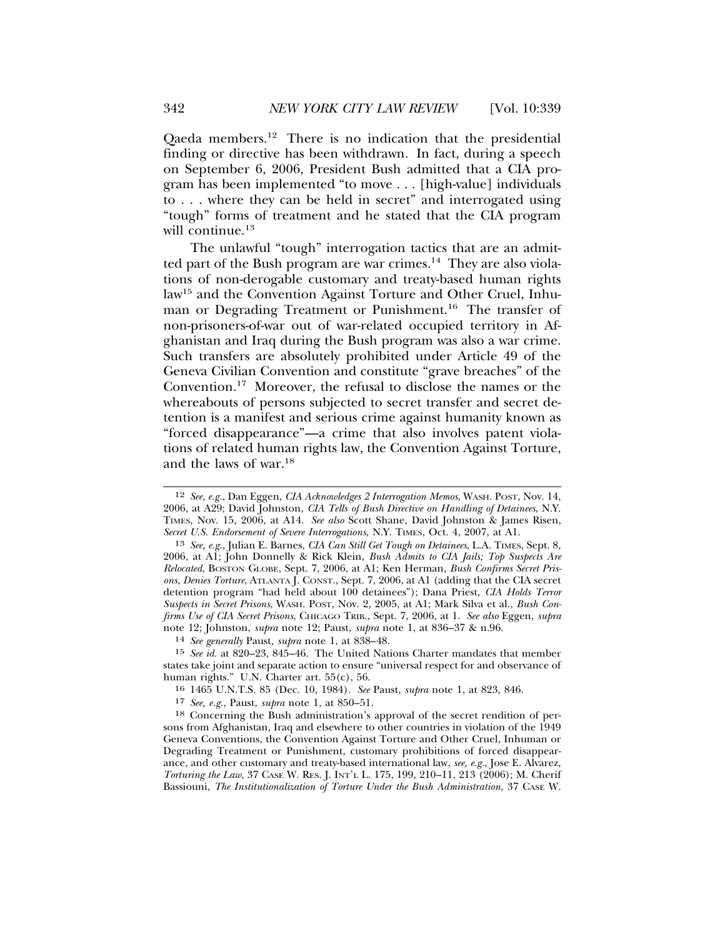Qaeda members.12 There is no indication that the presidential finding or directive has been withdrawn. In fact, during a speech on September 6, 2006, President Bush admitted that a CIA program has been implemented "to move . . . [high-value] individuals to . . . where they can be held in secret" and interrogated using "tough" forms of treatment and he stated that the CIA program will continue.<sup>13</sup>

The unlawful "tough" interrogation tactics that are an admitted part of the Bush program are war crimes.<sup>14</sup> They are also violations of non-derogable customary and treaty-based human rights law15 and the Convention Against Torture and Other Cruel, Inhuman or Degrading Treatment or Punishment.16 The transfer of non-prisoners-of-war out of war-related occupied territory in Afghanistan and Iraq during the Bush program was also a war crime. Such transfers are absolutely prohibited under Article 49 of the Geneva Civilian Convention and constitute "grave breaches" of the Convention.17 Moreover, the refusal to disclose the names or the whereabouts of persons subjected to secret transfer and secret detention is a manifest and serious crime against humanity known as "forced disappearance"—a crime that also involves patent violations of related human rights law, the Convention Against Torture, and the laws of war.18

<sup>12</sup> *See, e.g.*, Dan Eggen, *CIA Acknowledges 2 Interrogation Memos*, WASH. POST, Nov. 14, 2006, at A29; David Johnston, *CIA Tells of Bush Directive on Handling of Detainees*, N.Y. TIMES, Nov. 15, 2006, at A14. *See also* Scott Shane, David Johnston & James Risen, *Secret U.S. Endorsement of Severe Interrogations*, N.Y. TIMES, Oct. 4, 2007, at A1.

<sup>13</sup> *See, e.g.*, Julian E. Barnes, *CIA Can Still Get Tough on Detainees*, L.A. TIMES, Sept. 8, 2006, at A1; John Donnelly & Rick Klein, *Bush Admits to CIA Jails; Top Suspects Are Relocated*, BOSTON GLOBE, Sept. 7, 2006, at A1; Ken Herman, *Bush Confirms Secret Prisons, Denies Torture*, ATLANTA J. CONST., Sept. 7, 2006, at A1 (adding that the CIA secret detention program "had held about 100 detainees"); Dana Priest, *CIA Holds Terror Suspects in Secret Prisons*, WASH. POST, Nov. 2, 2005, at A1; Mark Silva et al., *Bush Confirms Use of CIA Secret Prisons*, CHICAGO TRIB., Sept. 7, 2006, at 1. *See also* Eggen, *supra* note 12; Johnston, *supra* note 12; Paust, *supra* note 1, at 836–37 & n.96.

<sup>14</sup> *See generally* Paust, *supra* note 1, at 838–48.

<sup>15</sup> *See id.* at 820–23, 845–46. The United Nations Charter mandates that member states take joint and separate action to ensure "universal respect for and observance of human rights." U.N. Charter art. 55(c), 56.

<sup>16</sup> 1465 U.N.T.S. 85 (Dec. 10, 1984). *See* Paust, *supra* note 1, at 823, 846.

<sup>17</sup> *See, e.g.*, Paust, *supra* note 1, at 850–51.

<sup>18</sup> Concerning the Bush administration's approval of the secret rendition of persons from Afghanistan, Iraq and elsewhere to other countries in violation of the 1949 Geneva Conventions, the Convention Against Torture and Other Cruel, Inhuman or Degrading Treatment or Punishment, customary prohibitions of forced disappearance, and other customary and treaty-based international law, *see, e.g.*, Jose E. Alvarez, *Torturing the Law*, 37 CASE W. RES. J. INT'L L. 175, 199, 210–11, 213 (2006); M. Cherif Bassiouni, *The Institutionalization of Torture Under the Bush Administration*, 37 CASE W.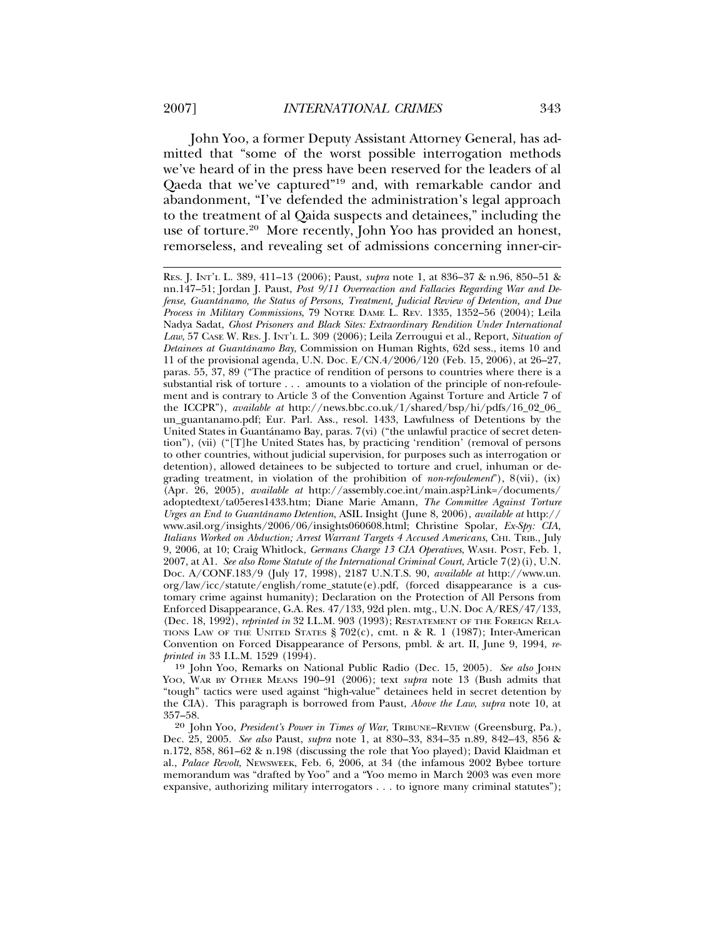John Yoo, a former Deputy Assistant Attorney General, has admitted that "some of the worst possible interrogation methods we've heard of in the press have been reserved for the leaders of al Qaeda that we've captured"19 and, with remarkable candor and abandonment, "I've defended the administration's legal approach to the treatment of al Qaida suspects and detainees," including the use of torture.<sup>20</sup> More recently, John Yoo has provided an honest, remorseless, and revealing set of admissions concerning inner-cir-

19 John Yoo, Remarks on National Public Radio (Dec. 15, 2005). *See also* JOHN YOO, WAR BY OTHER MEANS 190–91 (2006); text *supra* note 13 (Bush admits that "tough" tactics were used against "high-value" detainees held in secret detention by the CIA). This paragraph is borrowed from Paust, *Above the Law*, *supra* note 10, at 357–58.

20 John Yoo, *President's Power in Times of War*, TRIBUNE–REVIEW (Greensburg, Pa.), Dec. 25, 2005. *See also* Paust, *supra* note 1, at 830–33, 834–35 n.89, 842–43, 856 & n.172, 858, 861–62 & n.198 (discussing the role that Yoo played); David Klaidman et al., *Palace Revolt*, NEWSWEEK, Feb. 6, 2006, at 34 (the infamous 2002 Bybee torture memorandum was "drafted by Yoo" and a "Yoo memo in March 2003 was even more expansive, authorizing military interrogators . . . to ignore many criminal statutes");

RES. J. INT'L L. 389, 411–13 (2006); Paust, *supra* note 1, at 836–37 & n.96, 850–51 & nn.147–51; Jordan J. Paust, *Post 9/11 Overreaction and Fallacies Regarding War and Defense, Guantanamo, the Status of Persons, Treatment, Judicial Review of Detention, and Due ´ Process in Military Commissions*, 79 NOTRE DAME L. REV. 1335, 1352–56 (2004); Leila Nadya Sadat, *Ghost Prisoners and Black Sites: Extraordinary Rendition Under International Law*, 57 CASE W. RES. J. INT'L L. 309 (2006); Leila Zerrougui et al*.*, Report, *Situation of Detainees at Guantánamo Bay*, Commission on Human Rights, 62d sess., items 10 and 11 of the provisional agenda, U.N. Doc. E/CN.4/2006/120 (Feb. 15, 2006), at 26–27, paras. 55, 37, 89 ("The practice of rendition of persons to countries where there is a substantial risk of torture . . . amounts to a violation of the principle of non-refoulement and is contrary to Article 3 of the Convention Against Torture and Article 7 of the ICCPR"), *available at* http://news.bbc.co.uk/1/shared/bsp/hi/pdfs/16\_02\_06\_ un\_guantanamo.pdf; Eur. Parl. Ass., resol. 1433, Lawfulness of Detentions by the United States in Guantánamo Bay, paras. 7(vi) ("the unlawful practice of secret detention"), (vii) ("[T]he United States has, by practicing 'rendition' (removal of persons to other countries, without judicial supervision, for purposes such as interrogation or detention), allowed detainees to be subjected to torture and cruel, inhuman or degrading treatment, in violation of the prohibition of *non-refoulement*"), 8(vii), (ix) (Apr. 26, 2005), *available at* http://assembly.coe.int/main.asp?Link=/documents/ adoptedtext/ta05eres1433.htm; Diane Marie Amann, *The Committee Against Torture Urges an End to Guantanamo Detention ´* , ASIL Insight (June 8, 2006), *available at* http:// www.asil.org/insights/2006/06/insights060608.html; Christine Spolar, *Ex-Spy: CIA, Italians Worked on Abduction; Arrest Warrant Targets 4 Accused Americans*, CHI. TRIB., July 9, 2006, at 10; Craig Whitlock, *Germans Charge 13 CIA Operatives*, WASH. POST, Feb. 1, 2007, at A1. *See also Rome Statute of the International Criminal Court*, Article 7(2)(i), U.N. Doc. A/CONF.183/9 (July 17, 1998), 2187 U.N.T.S. 90, *available at* http://www.un. org/law/icc/statute/english/rome\_statute(e).pdf, (forced disappearance is a customary crime against humanity); Declaration on the Protection of All Persons from Enforced Disappearance, G.A. Res. 47/133, 92d plen. mtg., U.N. Doc A/RES/47/133, (Dec. 18, 1992), *reprinted in* 32 I.L.M. 903 (1993); RESTATEMENT OF THE FOREIGN RELA-TIONS LAW OF THE UNITED STATES  $\frac{8}{202(c)}$ , cmt. n & R. 1 (1987); Inter-American Convention on Forced Disappearance of Persons, pmbl. & art. II, June 9, 1994, *reprinted in* 33 I.L.M. 1529 (1994).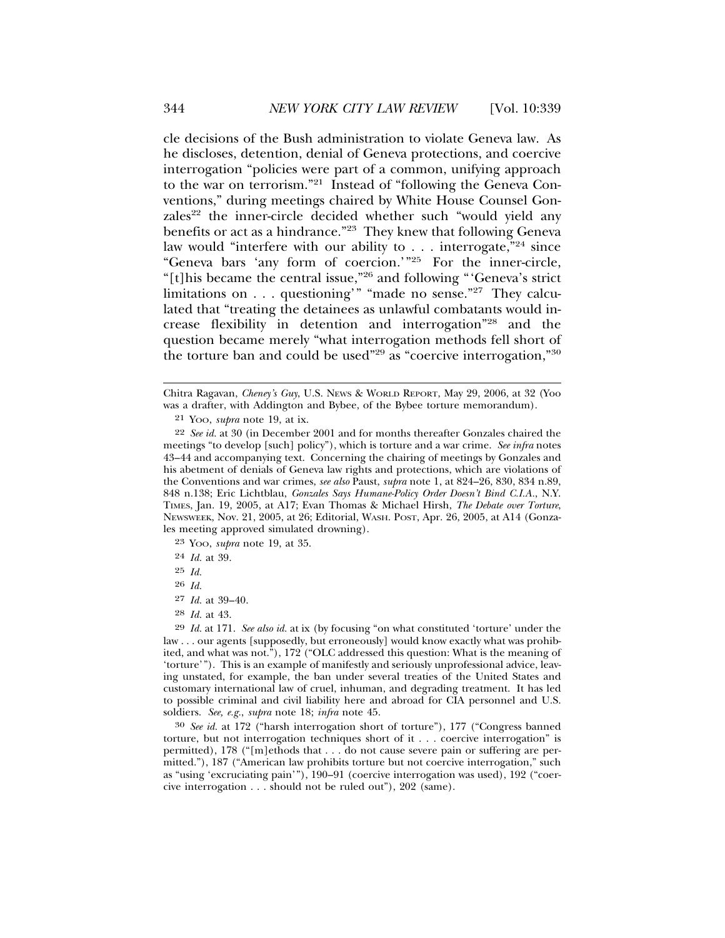cle decisions of the Bush administration to violate Geneva law. As he discloses, detention, denial of Geneva protections, and coercive interrogation "policies were part of a common, unifying approach to the war on terrorism."21 Instead of "following the Geneva Conventions," during meetings chaired by White House Counsel Gonzales<sup>22</sup> the inner-circle decided whether such "would yield any benefits or act as a hindrance."23 They knew that following Geneva law would "interfere with our ability to . . . interrogate,"24 since "Geneva bars 'any form of coercion.'"25 For the inner-circle, "[t]his became the central issue,"26 and following "'Geneva's strict limitations on . . . questioning'" "made no sense."27 They calculated that "treating the detainees as unlawful combatants would increase flexibility in detention and interrogation"28 and the question became merely "what interrogation methods fell short of the torture ban and could be used"29 as "coercive interrogation,"30

23 YOO, *supra* note 19, at 35.

24 *Id.* at 39.

25 *Id.*

26 *Id.*

27 *Id.* at 39–40.

30 *See id.* at 172 ("harsh interrogation short of torture"), 177 ("Congress banned torture, but not interrogation techniques short of it . . . coercive interrogation" is permitted), 178 ("[m]ethods that . . . do not cause severe pain or suffering are permitted."), 187 ("American law prohibits torture but not coercive interrogation," such as "using 'excruciating pain'"), 190–91 (coercive interrogation was used), 192 ("coercive interrogation . . . should not be ruled out"), 202 (same).

Chitra Ragavan, *Cheney's Guy*, U.S. NEWS & WORLD REPORT, May 29, 2006, at 32 (Yoo was a drafter, with Addington and Bybee, of the Bybee torture memorandum).

<sup>21</sup> YOO, *supra* note 19, at ix.

<sup>22</sup> *See id.* at 30 (in December 2001 and for months thereafter Gonzales chaired the meetings "to develop [such] policy"), which is torture and a war crime. *See infra* notes 43–44 and accompanying text. Concerning the chairing of meetings by Gonzales and his abetment of denials of Geneva law rights and protections, which are violations of the Conventions and war crimes, *see also* Paust, *supra* note 1, at 824–26, 830, 834 n.89, 848 n.138; Eric Lichtblau, *Gonzales Says Humane-Policy Order Doesn't Bind C.I.A.*, N.Y. TIMES, Jan. 19, 2005, at A17; Evan Thomas & Michael Hirsh, *The Debate over Torture*, NEWSWEEK, Nov. 21, 2005, at 26; Editorial, WASH. POST, Apr. 26, 2005, at A14 (Gonzales meeting approved simulated drowning).

<sup>28</sup> *Id.* at 43.

<sup>29</sup> *Id.* at 171. *See also id.* at ix (by focusing "on what constituted 'torture' under the law . . . our agents [supposedly, but erroneously] would know exactly what was prohibited, and what was not."), 172 ("OLC addressed this question: What is the meaning of 'torture'"). This is an example of manifestly and seriously unprofessional advice, leaving unstated, for example, the ban under several treaties of the United States and customary international law of cruel, inhuman, and degrading treatment. It has led to possible criminal and civil liability here and abroad for CIA personnel and U.S. soldiers. *See, e.g.*, *supra* note 18; *infra* note 45.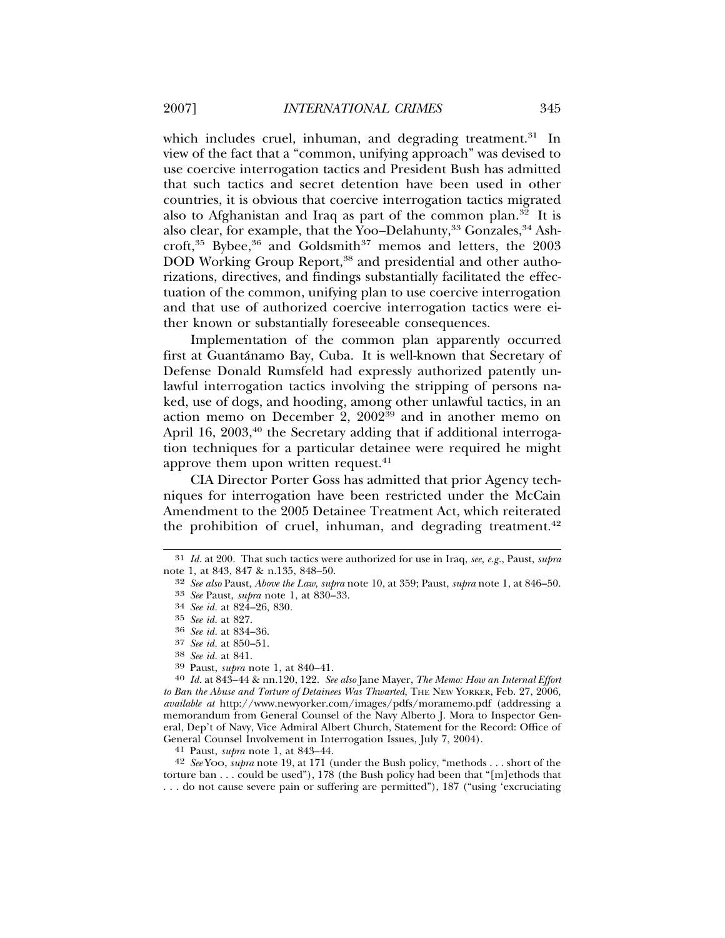which includes cruel, inhuman, and degrading treatment.<sup>31</sup> In view of the fact that a "common, unifying approach" was devised to use coercive interrogation tactics and President Bush has admitted that such tactics and secret detention have been used in other countries, it is obvious that coercive interrogation tactics migrated also to Afghanistan and Iraq as part of the common plan.<sup>32</sup> It is also clear, for example, that the Yoo–Delahunty,  $33$  Gonzales,  $34$  Ashcroft, $35$  Bybee, $36$  and Goldsmith $37$  memos and letters, the 2003 DOD Working Group Report,<sup>38</sup> and presidential and other authorizations, directives, and findings substantially facilitated the effectuation of the common, unifying plan to use coercive interrogation and that use of authorized coercive interrogation tactics were either known or substantially foreseeable consequences.

Implementation of the common plan apparently occurred first at Guantánamo Bay, Cuba. It is well-known that Secretary of Defense Donald Rumsfeld had expressly authorized patently unlawful interrogation tactics involving the stripping of persons naked, use of dogs, and hooding, among other unlawful tactics, in an action memo on December 2,  $2002^{39}$  and in another memo on April 16,  $2003$ <sup>40</sup> the Secretary adding that if additional interrogation techniques for a particular detainee were required he might approve them upon written request. $41$ 

CIA Director Porter Goss has admitted that prior Agency techniques for interrogation have been restricted under the McCain Amendment to the 2005 Detainee Treatment Act, which reiterated the prohibition of cruel, inhuman, and degrading treatment.<sup>42</sup>

<sup>37</sup> *See id.* at 850–51. <sup>38</sup> *See id.* at 841. <sup>39</sup> Paust, *supra* note 1, at 840–41. <sup>40</sup> *Id.* at 843–44 & nn.120, 122. *See also* Jane Mayer, *The Memo: How an Internal Effort to Ban the Abuse and Torture of Detainees Was Thwarted*, THE NEW YORKER, Feb. 27, 2006, *available at* http://www.newyorker.com/images/pdfs/moramemo.pdf (addressing a memorandum from General Counsel of the Navy Alberto J. Mora to Inspector General, Dep't of Navy, Vice Admiral Albert Church, Statement for the Record: Office of General Counsel Involvement in Interrogation Issues, July 7, 2004). <sup>41</sup> Paust, *supra* note 1, at 843–44.

42 *See* YOO, *supra* note 19, at 171 (under the Bush policy, "methods . . . short of the torture ban . . . could be used"), 178 (the Bush policy had been that "[m]ethods that . . . do not cause severe pain or suffering are permitted"), 187 ("using 'excruciating

<sup>31</sup> *Id.* at 200. That such tactics were authorized for use in Iraq, *see, e.g.*, Paust, *supra* note 1, at 843, 847 & n.135, 848–50.

<sup>32</sup> *See also* Paust, *Above the Law*, *supra* note 10, at 359; Paust, *supra* note 1, at 846–50. <sup>33</sup> *See* Paust, *supra* note 1, at 830–33. <sup>34</sup> *See id.* at 824–26, 830.

<sup>35</sup> *See id.* at 827. <sup>36</sup> *See id.* at 834–36.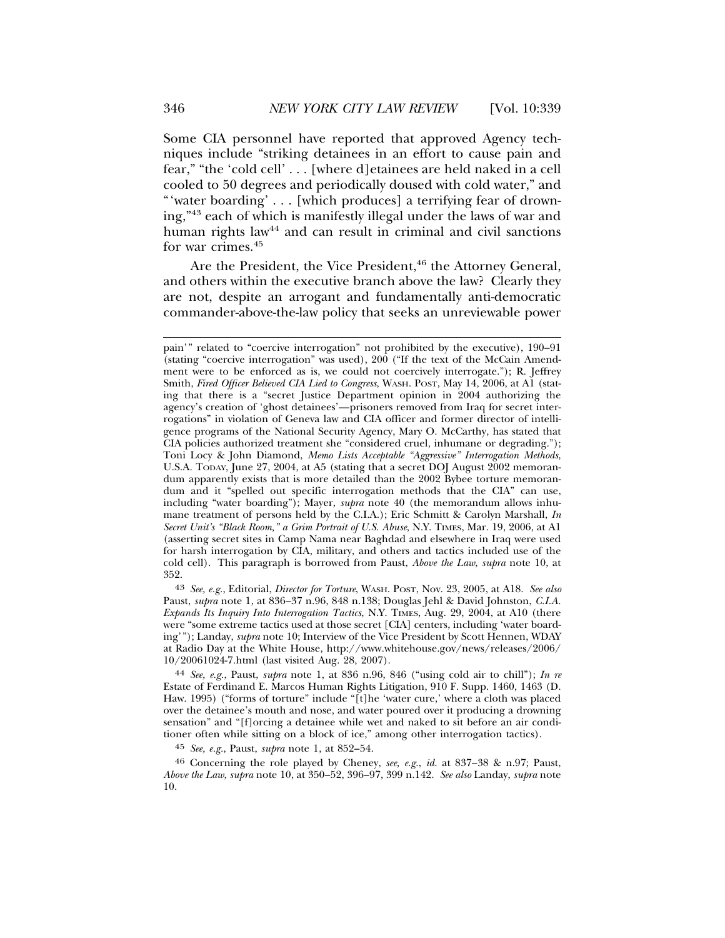Some CIA personnel have reported that approved Agency techniques include "striking detainees in an effort to cause pain and fear," "the 'cold cell' . . . [where d]etainees are held naked in a cell cooled to 50 degrees and periodically doused with cold water," and "'water boarding' . . . [which produces] a terrifying fear of drowning,"43 each of which is manifestly illegal under the laws of war and human rights law<sup>44</sup> and can result in criminal and civil sanctions for war crimes.<sup>45</sup>

Are the President, the Vice President,<sup>46</sup> the Attorney General, and others within the executive branch above the law? Clearly they are not, despite an arrogant and fundamentally anti-democratic commander-above-the-law policy that seeks an unreviewable power

43 *See, e.g.*, Editorial, *Director for Torture*, WASH. POST, Nov. 23, 2005, at A18. *See also* Paust, *supra* note 1, at 836–37 n.96, 848 n.138; Douglas Jehl & David Johnston, *C.I.A. Expands Its Inquiry Into Interrogation Tactics*, N.Y. TIMES, Aug. 29, 2004, at A10 (there were "some extreme tactics used at those secret [CIA] centers, including 'water boarding'"); Landay, *supra* note 10; Interview of the Vice President by Scott Hennen, WDAY at Radio Day at the White House, http://www.whitehouse.gov/news/releases/2006/ 10/20061024-7.html (last visited Aug. 28, 2007).

44 *See, e.g.*, Paust, *supra* note 1, at 836 n.96, 846 ("using cold air to chill"); *In re* Estate of Ferdinand E. Marcos Human Rights Litigation, 910 F. Supp. 1460, 1463 (D. Haw. 1995) ("forms of torture" include "[t]he 'water cure,' where a cloth was placed over the detainee's mouth and nose, and water poured over it producing a drowning sensation" and "[f]orcing a detainee while wet and naked to sit before an air conditioner often while sitting on a block of ice," among other interrogation tactics).

45 *See, e.g.*, Paust, *supra* note 1, at 852–54.

46 Concerning the role played by Cheney, *see, e.g.*, *id.* at 837–38 & n.97; Paust, *Above the Law*, *supra* note 10, at 350–52, 396–97, 399 n.142. *See also* Landay, *supra* note 10.

pain'" related to "coercive interrogation" not prohibited by the executive), 190–91 (stating "coercive interrogation" was used), 200 ("If the text of the McCain Amendment were to be enforced as is, we could not coercively interrogate."); R. Jeffrey Smith, *Fired Officer Believed CIA Lied to Congress*, WASH. POST, May 14, 2006, at A1 (stating that there is a "secret Justice Department opinion in 2004 authorizing the agency's creation of 'ghost detainees'—prisoners removed from Iraq for secret interrogations" in violation of Geneva law and CIA officer and former director of intelligence programs of the National Security Agency, Mary O. McCarthy, has stated that CIA policies authorized treatment she "considered cruel, inhumane or degrading."); Toni Locy & John Diamond, *Memo Lists Acceptable "Aggressive" Interrogation Methods*, U.S.A. TODAY, June 27, 2004, at A5 (stating that a secret DOJ August 2002 memorandum apparently exists that is more detailed than the 2002 Bybee torture memorandum and it "spelled out specific interrogation methods that the CIA" can use, including "water boarding"); Mayer, *supra* note 40 (the memorandum allows inhumane treatment of persons held by the C.I.A.); Eric Schmitt & Carolyn Marshall, *In Secret Unit's "Black Room," a Grim Portrait of U.S. Abuse*, N.Y. TIMES, Mar. 19, 2006, at A1 (asserting secret sites in Camp Nama near Baghdad and elsewhere in Iraq were used for harsh interrogation by CIA, military, and others and tactics included use of the cold cell). This paragraph is borrowed from Paust, *Above the Law*, *supra* note 10, at 352.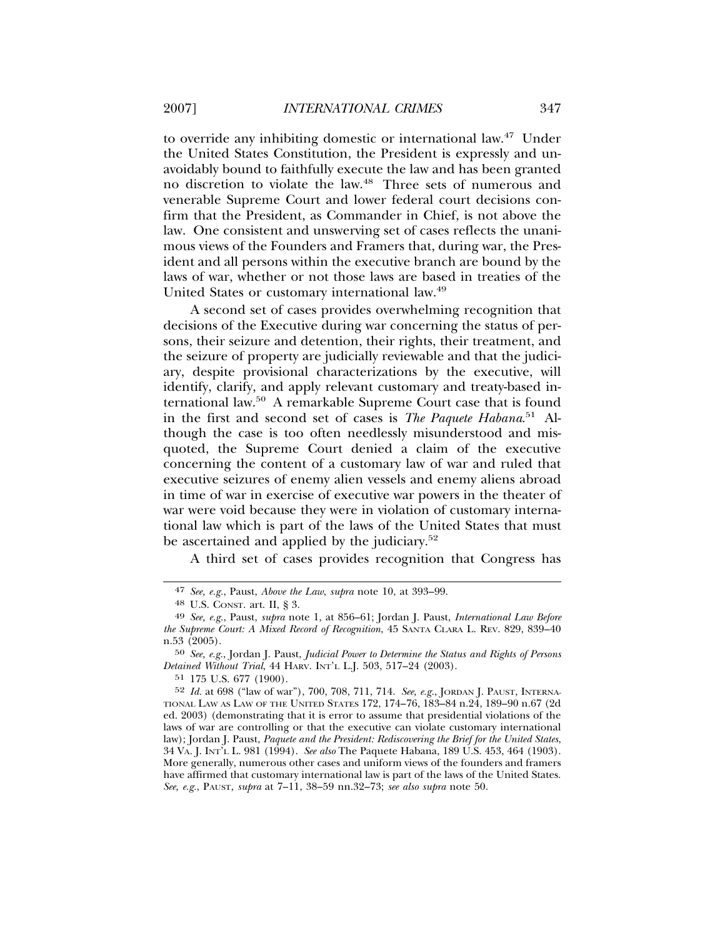to override any inhibiting domestic or international law.47 Under the United States Constitution, the President is expressly and unavoidably bound to faithfully execute the law and has been granted no discretion to violate the law.48 Three sets of numerous and venerable Supreme Court and lower federal court decisions confirm that the President, as Commander in Chief, is not above the law. One consistent and unswerving set of cases reflects the unanimous views of the Founders and Framers that, during war, the President and all persons within the executive branch are bound by the laws of war, whether or not those laws are based in treaties of the United States or customary international law.<sup>49</sup>

A second set of cases provides overwhelming recognition that decisions of the Executive during war concerning the status of persons, their seizure and detention, their rights, their treatment, and the seizure of property are judicially reviewable and that the judiciary, despite provisional characterizations by the executive, will identify, clarify, and apply relevant customary and treaty-based international law.50 A remarkable Supreme Court case that is found in the first and second set of cases is *The Paquete Habana*. 51 Although the case is too often needlessly misunderstood and misquoted, the Supreme Court denied a claim of the executive concerning the content of a customary law of war and ruled that executive seizures of enemy alien vessels and enemy aliens abroad in time of war in exercise of executive war powers in the theater of war were void because they were in violation of customary international law which is part of the laws of the United States that must be ascertained and applied by the judiciary.<sup>52</sup>

A third set of cases provides recognition that Congress has

51 175 U.S. 677 (1900).

<sup>47</sup> *See, e.g.*, Paust, *Above the Law*, *supra* note 10, at 393–99.

<sup>48</sup> U.S. CONST. art. II, § 3.

<sup>49</sup> *See, e.g.*, Paust, *supra* note 1, at 856–61; Jordan J. Paust, *International Law Before the Supreme Court: A Mixed Record of Recognition*, 45 SANTA CLARA L. REV. 829, 839–40 n.53 (2005).

<sup>50</sup> *See, e.g.*, Jordan J. Paust, *Judicial Power to Determine the Status and Rights of Persons Detained Without Trial*, 44 HARV. INT'L L.J. 503, 517–24 (2003).

<sup>52</sup> *Id.* at 698 ("law of war"), 700, 708, 711, 714. *See, e.g.*, JORDAN J. PAUST, INTERNA-TIONAL LAW AS LAW OF THE UNITED STATES 172, 174–76, 183–84 n.24, 189–90 n.67 (2d ed. 2003) (demonstrating that it is error to assume that presidential violations of the laws of war are controlling or that the executive can violate customary international law); Jordan J. Paust, *Paquete and the President: Rediscovering the Brief for the United States*, 34 VA. J. INT'L L. 981 (1994). *See also* The Paquete Habana, 189 U.S. 453, 464 (1903). More generally, numerous other cases and uniform views of the founders and framers have affirmed that customary international law is part of the laws of the United States. *See, e.g.*, PAUST, *supra* at 7–11, 38–59 nn.32–73; *see also supra* note 50.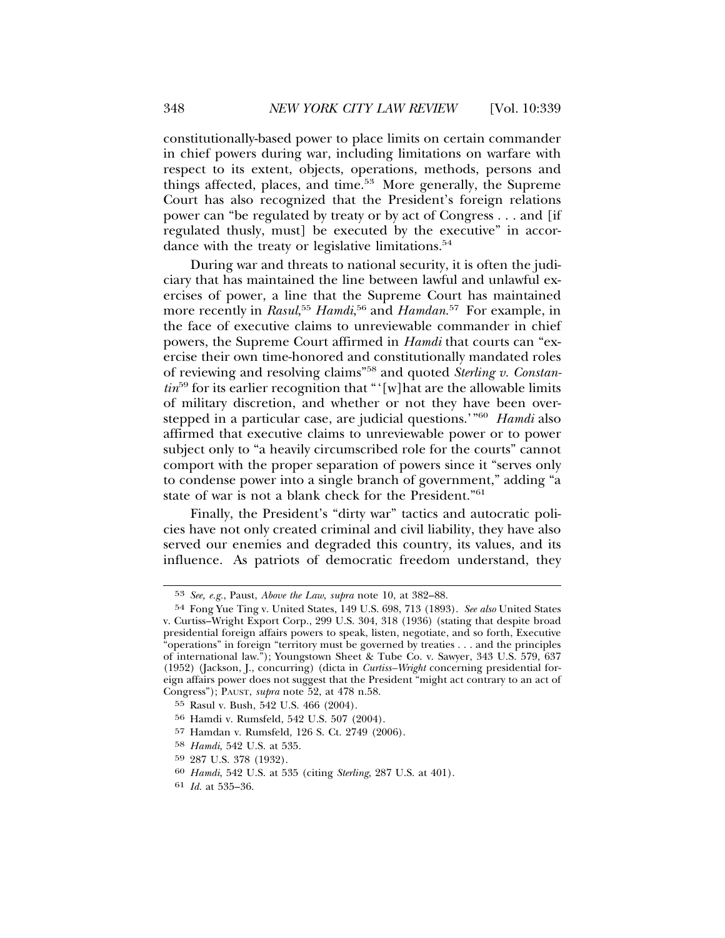constitutionally-based power to place limits on certain commander in chief powers during war, including limitations on warfare with respect to its extent, objects, operations, methods, persons and things affected, places, and time.<sup>53</sup> More generally, the Supreme Court has also recognized that the President's foreign relations power can "be regulated by treaty or by act of Congress . . . and [if regulated thusly, must] be executed by the executive" in accordance with the treaty or legislative limitations.<sup>54</sup>

During war and threats to national security, it is often the judiciary that has maintained the line between lawful and unlawful exercises of power, a line that the Supreme Court has maintained more recently in *Rasul*, <sup>55</sup> *Hamdi*, 56 and *Hamdan*. 57 For example, in the face of executive claims to unreviewable commander in chief powers, the Supreme Court affirmed in *Hamdi* that courts can "exercise their own time-honored and constitutionally mandated roles of reviewing and resolving claims"58 and quoted *Sterling v. Constantin*59 for its earlier recognition that "'[w]hat are the allowable limits of military discretion, and whether or not they have been overstepped in a particular case, are judicial questions.'"60 *Hamdi* also affirmed that executive claims to unreviewable power or to power subject only to "a heavily circumscribed role for the courts" cannot comport with the proper separation of powers since it "serves only to condense power into a single branch of government," adding "a state of war is not a blank check for the President."61

Finally, the President's "dirty war" tactics and autocratic policies have not only created criminal and civil liability, they have also served our enemies and degraded this country, its values, and its influence. As patriots of democratic freedom understand, they

<sup>53</sup> *See, e.g.*, Paust, *Above the Law*, *supra* note 10, at 382–88.

<sup>54</sup> Fong Yue Ting v. United States, 149 U.S. 698, 713 (1893). *See also* United States v. Curtiss–Wright Export Corp., 299 U.S. 304, 318 (1936) (stating that despite broad presidential foreign affairs powers to speak, listen, negotiate, and so forth, Executive "operations" in foreign "territory must be governed by treaties  $\dots$  and the principles of international law."); Youngstown Sheet & Tube Co. v. Sawyer, 343 U.S. 579, 637 (1952) (Jackson, J., concurring) (dicta in *Curtiss–Wright* concerning presidential foreign affairs power does not suggest that the President "might act contrary to an act of Congress"); PAUST, *supra* note 52, at 478 n.58.

<sup>55</sup> Rasul v. Bush, 542 U.S. 466 (2004).

<sup>56</sup> Hamdi v. Rumsfeld, 542 U.S. 507 (2004).

<sup>57</sup> Hamdan v. Rumsfeld, 126 S. Ct. 2749 (2006).

<sup>58</sup> *Hamdi*, 542 U.S. at 535.

<sup>59</sup> 287 U.S. 378 (1932).

<sup>60</sup> *Hamdi*, 542 U.S. at 535 (citing *Sterling*, 287 U.S. at 401).

<sup>61</sup> *Id.* at 535–36.